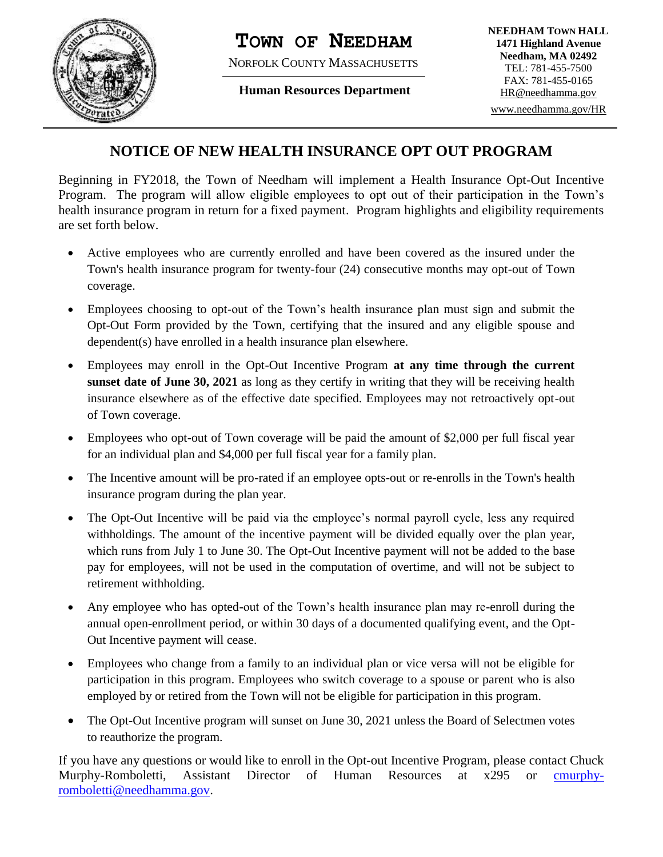

## **TOWN OF NEEDHAM**

NORFOLK COUNTY MASSACHUSETTS

**Human Resources Department**

## **NOTICE OF NEW HEALTH INSURANCE OPT OUT PROGRAM**

Beginning in FY2018, the Town of Needham will implement a Health Insurance Opt-Out Incentive Program. The program will allow eligible employees to opt out of their participation in the Town's health insurance program in return for a fixed payment. Program highlights and eligibility requirements are set forth below.

- Active employees who are currently enrolled and have been covered as the insured under the Town's health insurance program for twenty-four (24) consecutive months may opt-out of Town coverage.
- Employees choosing to opt-out of the Town's health insurance plan must sign and submit the Opt-Out Form provided by the Town, certifying that the insured and any eligible spouse and dependent(s) have enrolled in a health insurance plan elsewhere.
- Employees may enroll in the Opt-Out Incentive Program **at any time through the current sunset date of June 30, 2021** as long as they certify in writing that they will be receiving health insurance elsewhere as of the effective date specified. Employees may not retroactively opt-out of Town coverage.
- Employees who opt-out of Town coverage will be paid the amount of \$2,000 per full fiscal year for an individual plan and \$4,000 per full fiscal year for a family plan.
- The Incentive amount will be pro-rated if an employee opts-out or re-enrolls in the Town's health insurance program during the plan year.
- The Opt-Out Incentive will be paid via the employee's normal payroll cycle, less any required withholdings. The amount of the incentive payment will be divided equally over the plan year, which runs from July 1 to June 30. The Opt-Out Incentive payment will not be added to the base pay for employees, will not be used in the computation of overtime, and will not be subject to retirement withholding.
- Any employee who has opted-out of the Town's health insurance plan may re-enroll during the annual open-enrollment period, or within 30 days of a documented qualifying event, and the Opt-Out Incentive payment will cease.
- Employees who change from a family to an individual plan or vice versa will not be eligible for participation in this program. Employees who switch coverage to a spouse or parent who is also employed by or retired from the Town will not be eligible for participation in this program.
- The Opt-Out Incentive program will sunset on June 30, 2021 unless the Board of Selectmen votes to reauthorize the program.

If you have any questions or would like to enroll in the Opt-out Incentive Program, please contact Chuck Murphy-Romboletti, Assistant Director of Human Resources at x295 or [cmurphy](mailto:cmurphy-romboletti@needhamma.gov)[romboletti@needhamma.gov.](mailto:cmurphy-romboletti@needhamma.gov)